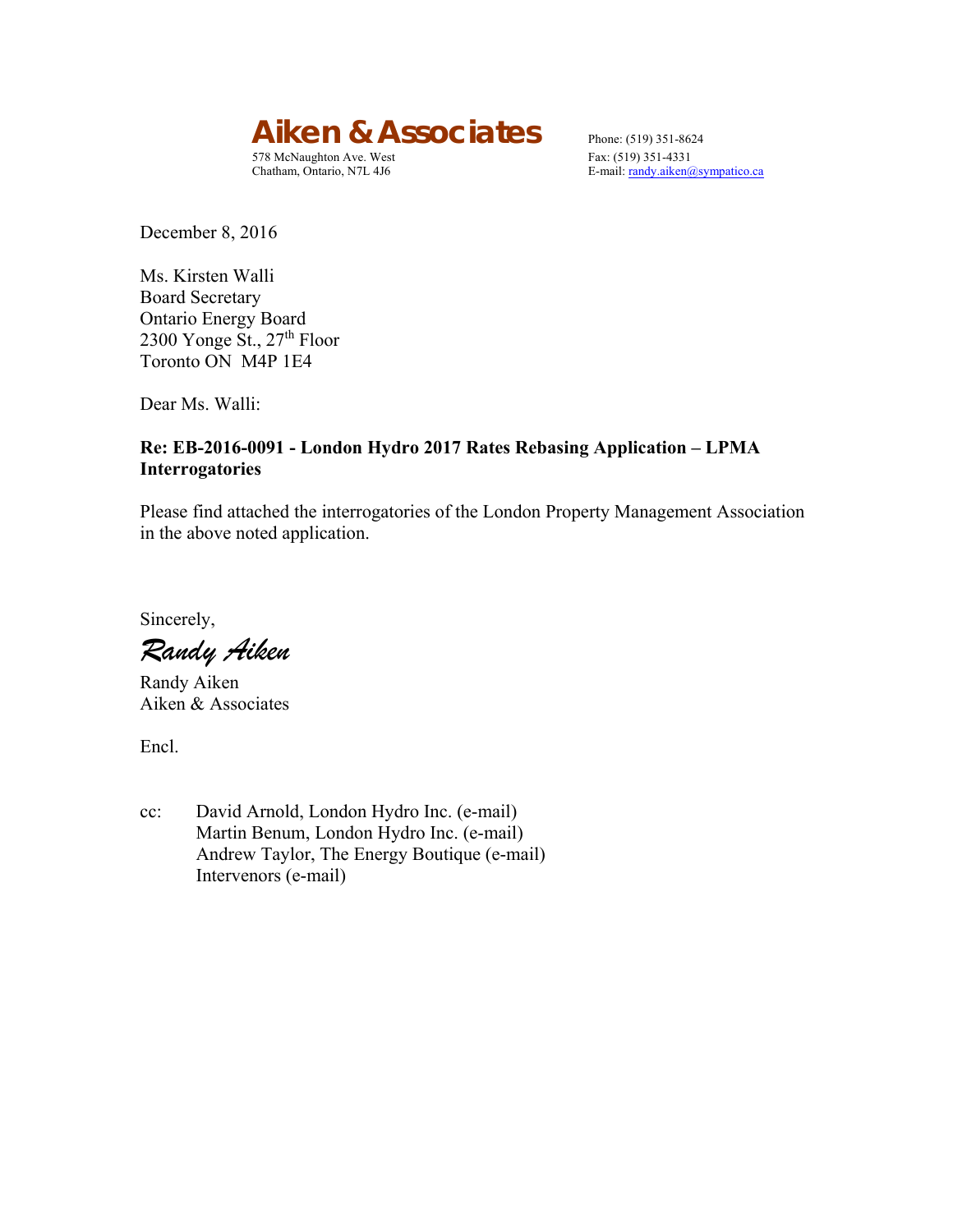*Aiken & Associates* Phone: (519) 351-8624<br>578 McNaughton Ave. West Fax: (519) 351-4331

578 McNaughton Ave. West

Chatham, Ontario, N7L 4J6 E-mail: randy.aiken@sympatico.ca

December 8, 2016

Ms. Kirsten Walli Board Secretary Ontario Energy Board 2300 Yonge St., 27<sup>th</sup> Floor Toronto ON M4P 1E4

Dear Ms. Walli:

#### **Re: EB-2016-0091 - London Hydro 2017 Rates Rebasing Application – LPMA Interrogatories**

Please find attached the interrogatories of the London Property Management Association in the above noted application.

Sincerely,

*Randy Aiken* 

Randy Aiken Aiken & Associates

Encl.

cc: David Arnold, London Hydro Inc. (e-mail) Martin Benum, London Hydro Inc. (e-mail) Andrew Taylor, The Energy Boutique (e-mail) Intervenors (e-mail)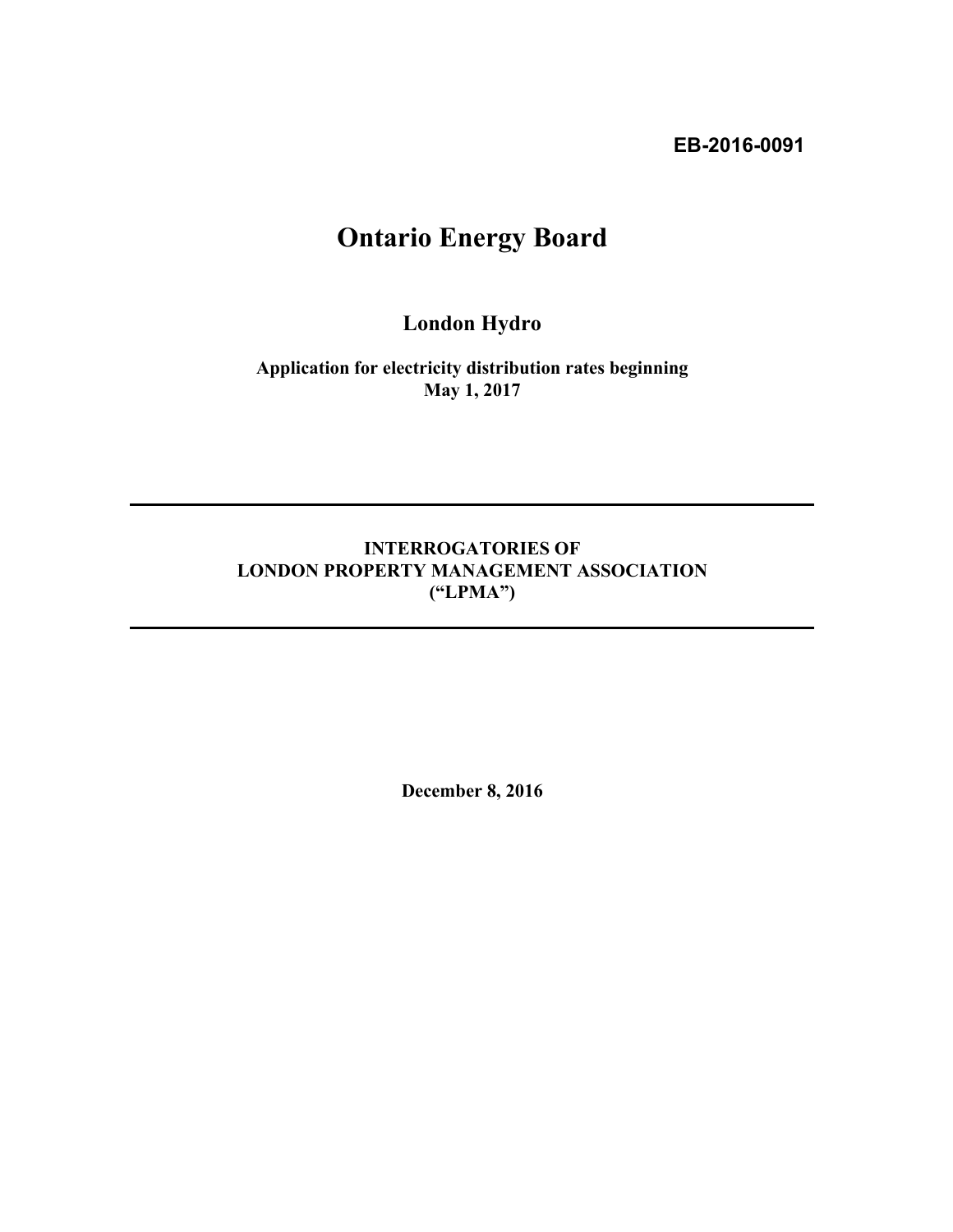**EB-2016-0091** 

# **Ontario Energy Board**

**London Hydro** 

**Application for electricity distribution rates beginning May 1, 2017**

### **INTERROGATORIES OF LONDON PROPERTY MANAGEMENT ASSOCIATION ("LPMA")**

**December 8, 2016**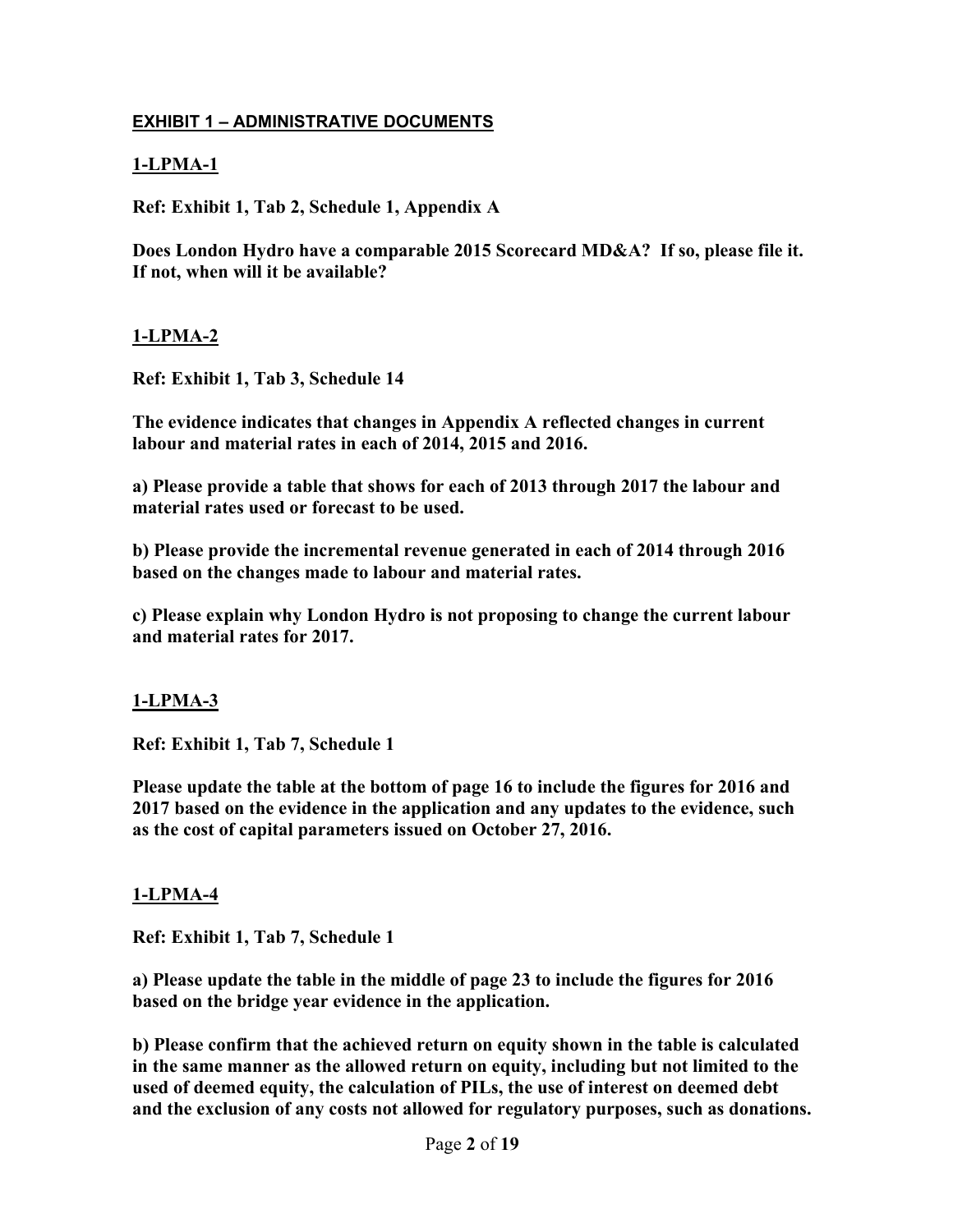### **EXHIBIT 1 – ADMINISTRATIVE DOCUMENTS**

### **1-LPMA-1**

**Ref: Exhibit 1, Tab 2, Schedule 1, Appendix A** 

**Does London Hydro have a comparable 2015 Scorecard MD&A? If so, please file it. If not, when will it be available?** 

#### **1-LPMA-2**

**Ref: Exhibit 1, Tab 3, Schedule 14** 

**The evidence indicates that changes in Appendix A reflected changes in current labour and material rates in each of 2014, 2015 and 2016.** 

**a) Please provide a table that shows for each of 2013 through 2017 the labour and material rates used or forecast to be used.** 

**b) Please provide the incremental revenue generated in each of 2014 through 2016 based on the changes made to labour and material rates.** 

**c) Please explain why London Hydro is not proposing to change the current labour and material rates for 2017.** 

#### **1-LPMA-3**

**Ref: Exhibit 1, Tab 7, Schedule 1** 

**Please update the table at the bottom of page 16 to include the figures for 2016 and 2017 based on the evidence in the application and any updates to the evidence, such as the cost of capital parameters issued on October 27, 2016.** 

#### **1-LPMA-4**

**Ref: Exhibit 1, Tab 7, Schedule 1** 

**a) Please update the table in the middle of page 23 to include the figures for 2016 based on the bridge year evidence in the application.** 

**b) Please confirm that the achieved return on equity shown in the table is calculated in the same manner as the allowed return on equity, including but not limited to the used of deemed equity, the calculation of PILs, the use of interest on deemed debt and the exclusion of any costs not allowed for regulatory purposes, such as donations.**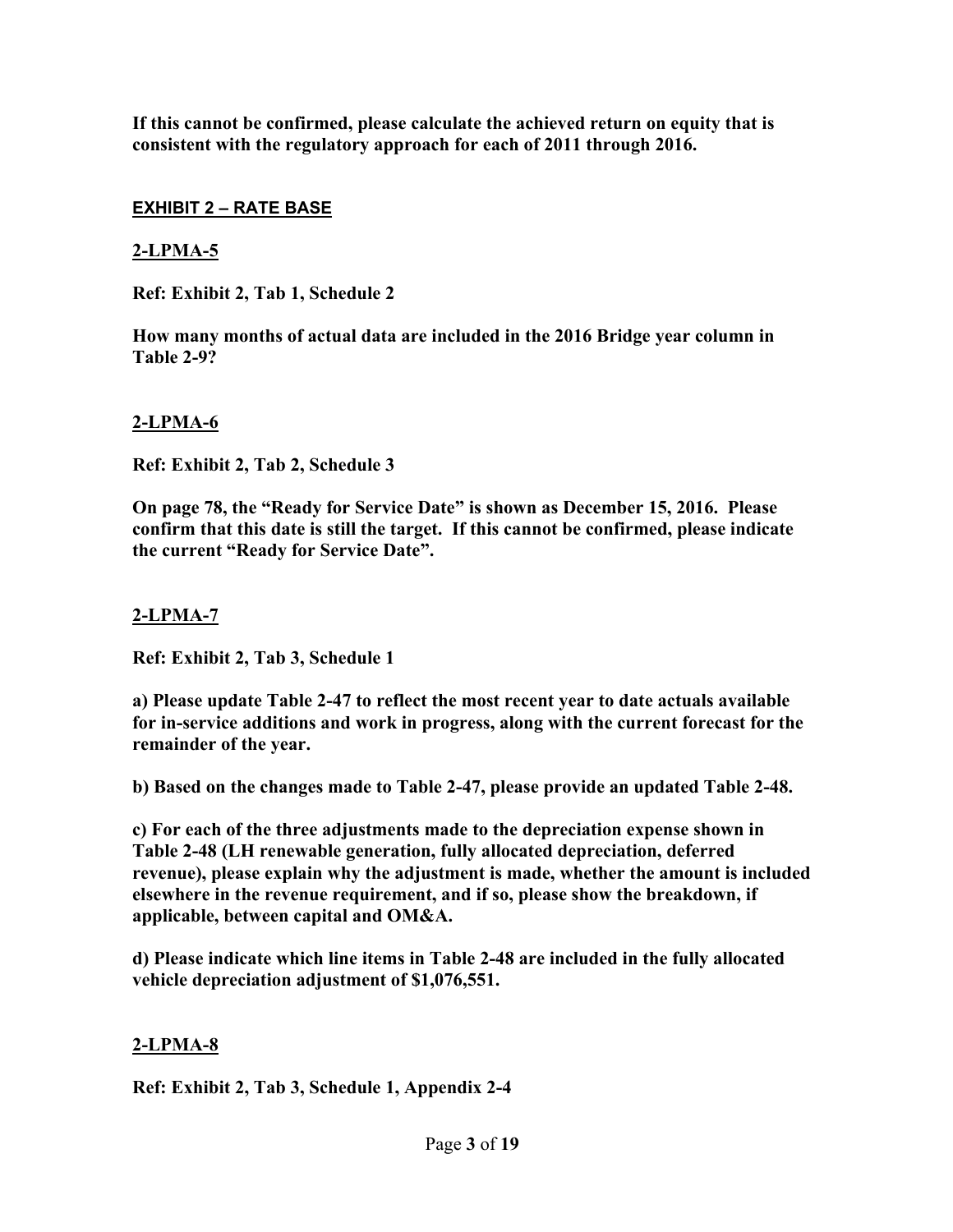**If this cannot be confirmed, please calculate the achieved return on equity that is consistent with the regulatory approach for each of 2011 through 2016.** 

#### **EXHIBIT 2 – RATE BASE**

#### **2-LPMA-5**

**Ref: Exhibit 2, Tab 1, Schedule 2** 

**How many months of actual data are included in the 2016 Bridge year column in Table 2-9?** 

### **2-LPMA-6**

**Ref: Exhibit 2, Tab 2, Schedule 3** 

**On page 78, the "Ready for Service Date" is shown as December 15, 2016. Please confirm that this date is still the target. If this cannot be confirmed, please indicate the current "Ready for Service Date".** 

### **2-LPMA-7**

**Ref: Exhibit 2, Tab 3, Schedule 1** 

**a) Please update Table 2-47 to reflect the most recent year to date actuals available for in-service additions and work in progress, along with the current forecast for the remainder of the year.** 

**b) Based on the changes made to Table 2-47, please provide an updated Table 2-48.** 

**c) For each of the three adjustments made to the depreciation expense shown in Table 2-48 (LH renewable generation, fully allocated depreciation, deferred revenue), please explain why the adjustment is made, whether the amount is included elsewhere in the revenue requirement, and if so, please show the breakdown, if applicable, between capital and OM&A.** 

**d) Please indicate which line items in Table 2-48 are included in the fully allocated vehicle depreciation adjustment of \$1,076,551.** 

#### **2-LPMA-8**

**Ref: Exhibit 2, Tab 3, Schedule 1, Appendix 2-4**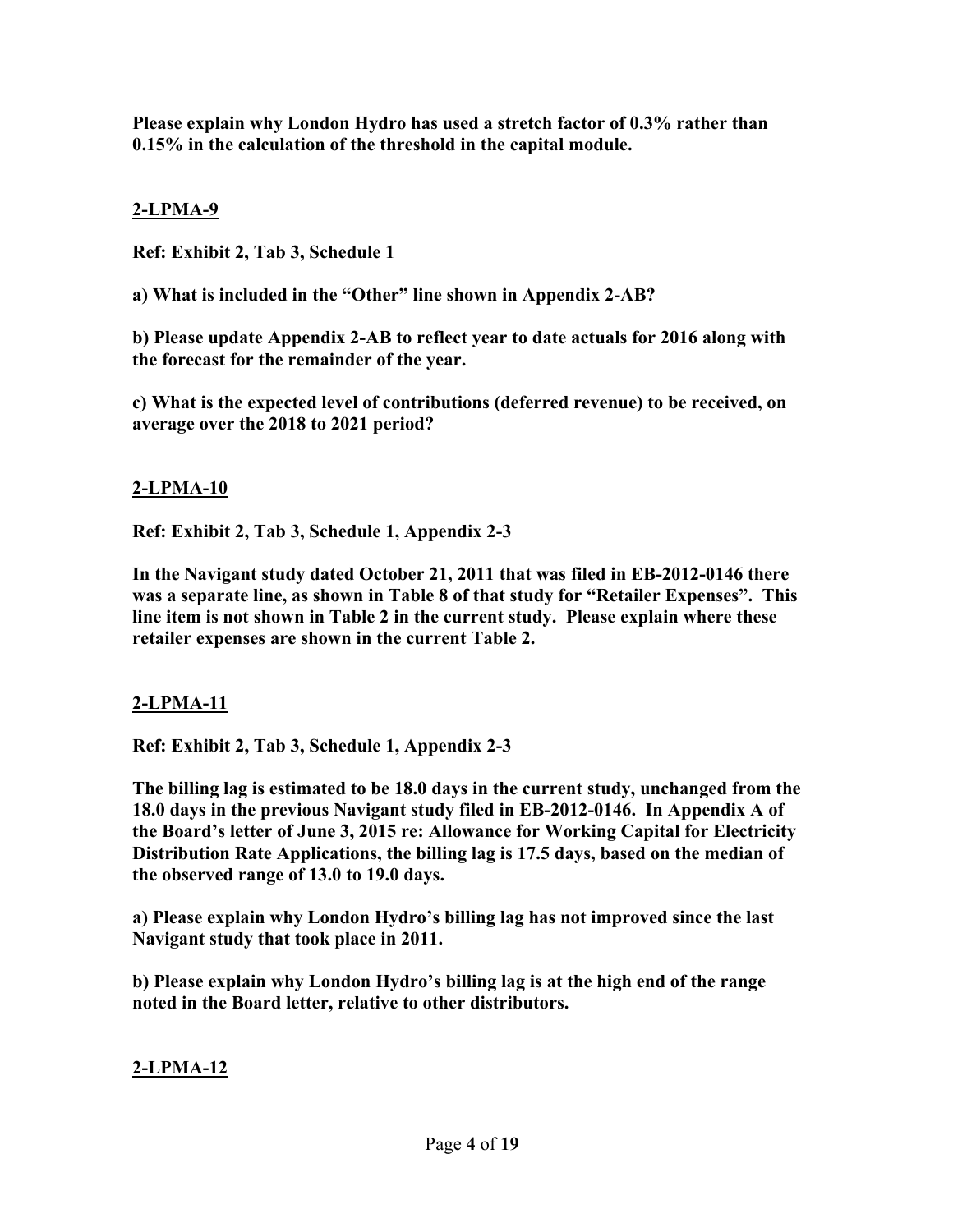**Please explain why London Hydro has used a stretch factor of 0.3% rather than 0.15% in the calculation of the threshold in the capital module.** 

# **2-LPMA-9**

**Ref: Exhibit 2, Tab 3, Schedule 1** 

**a) What is included in the "Other" line shown in Appendix 2-AB?**

**b) Please update Appendix 2-AB to reflect year to date actuals for 2016 along with the forecast for the remainder of the year.** 

**c) What is the expected level of contributions (deferred revenue) to be received, on average over the 2018 to 2021 period?** 

# **2-LPMA-10**

**Ref: Exhibit 2, Tab 3, Schedule 1, Appendix 2-3** 

**In the Navigant study dated October 21, 2011 that was filed in EB-2012-0146 there was a separate line, as shown in Table 8 of that study for "Retailer Expenses". This line item is not shown in Table 2 in the current study. Please explain where these retailer expenses are shown in the current Table 2.** 

# **2-LPMA-11**

**Ref: Exhibit 2, Tab 3, Schedule 1, Appendix 2-3** 

**The billing lag is estimated to be 18.0 days in the current study, unchanged from the 18.0 days in the previous Navigant study filed in EB-2012-0146. In Appendix A of the Board's letter of June 3, 2015 re: Allowance for Working Capital for Electricity Distribution Rate Applications, the billing lag is 17.5 days, based on the median of the observed range of 13.0 to 19.0 days.** 

**a) Please explain why London Hydro's billing lag has not improved since the last Navigant study that took place in 2011.** 

**b) Please explain why London Hydro's billing lag is at the high end of the range noted in the Board letter, relative to other distributors.**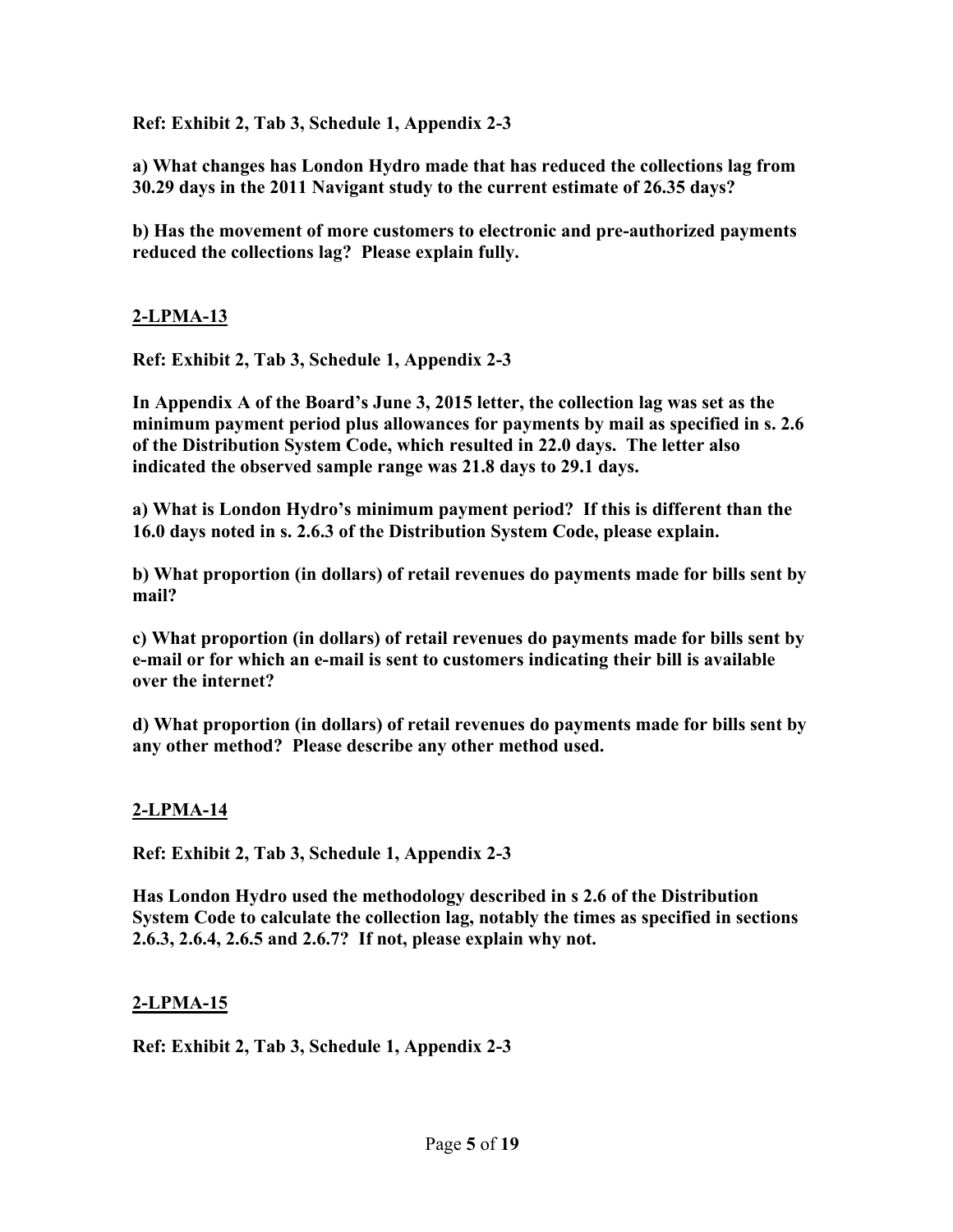**Ref: Exhibit 2, Tab 3, Schedule 1, Appendix 2-3** 

**a) What changes has London Hydro made that has reduced the collections lag from 30.29 days in the 2011 Navigant study to the current estimate of 26.35 days?** 

**b) Has the movement of more customers to electronic and pre-authorized payments reduced the collections lag? Please explain fully.** 

### **2-LPMA-13**

**Ref: Exhibit 2, Tab 3, Schedule 1, Appendix 2-3** 

**In Appendix A of the Board's June 3, 2015 letter, the collection lag was set as the minimum payment period plus allowances for payments by mail as specified in s. 2.6 of the Distribution System Code, which resulted in 22.0 days. The letter also indicated the observed sample range was 21.8 days to 29.1 days.**

**a) What is London Hydro's minimum payment period? If this is different than the 16.0 days noted in s. 2.6.3 of the Distribution System Code, please explain.** 

**b) What proportion (in dollars) of retail revenues do payments made for bills sent by mail?** 

**c) What proportion (in dollars) of retail revenues do payments made for bills sent by e-mail or for which an e-mail is sent to customers indicating their bill is available over the internet?** 

**d) What proportion (in dollars) of retail revenues do payments made for bills sent by any other method? Please describe any other method used.** 

#### **2-LPMA-14**

**Ref: Exhibit 2, Tab 3, Schedule 1, Appendix 2-3** 

**Has London Hydro used the methodology described in s 2.6 of the Distribution System Code to calculate the collection lag, notably the times as specified in sections 2.6.3, 2.6.4, 2.6.5 and 2.6.7? If not, please explain why not.**

#### **2-LPMA-15**

**Ref: Exhibit 2, Tab 3, Schedule 1, Appendix 2-3**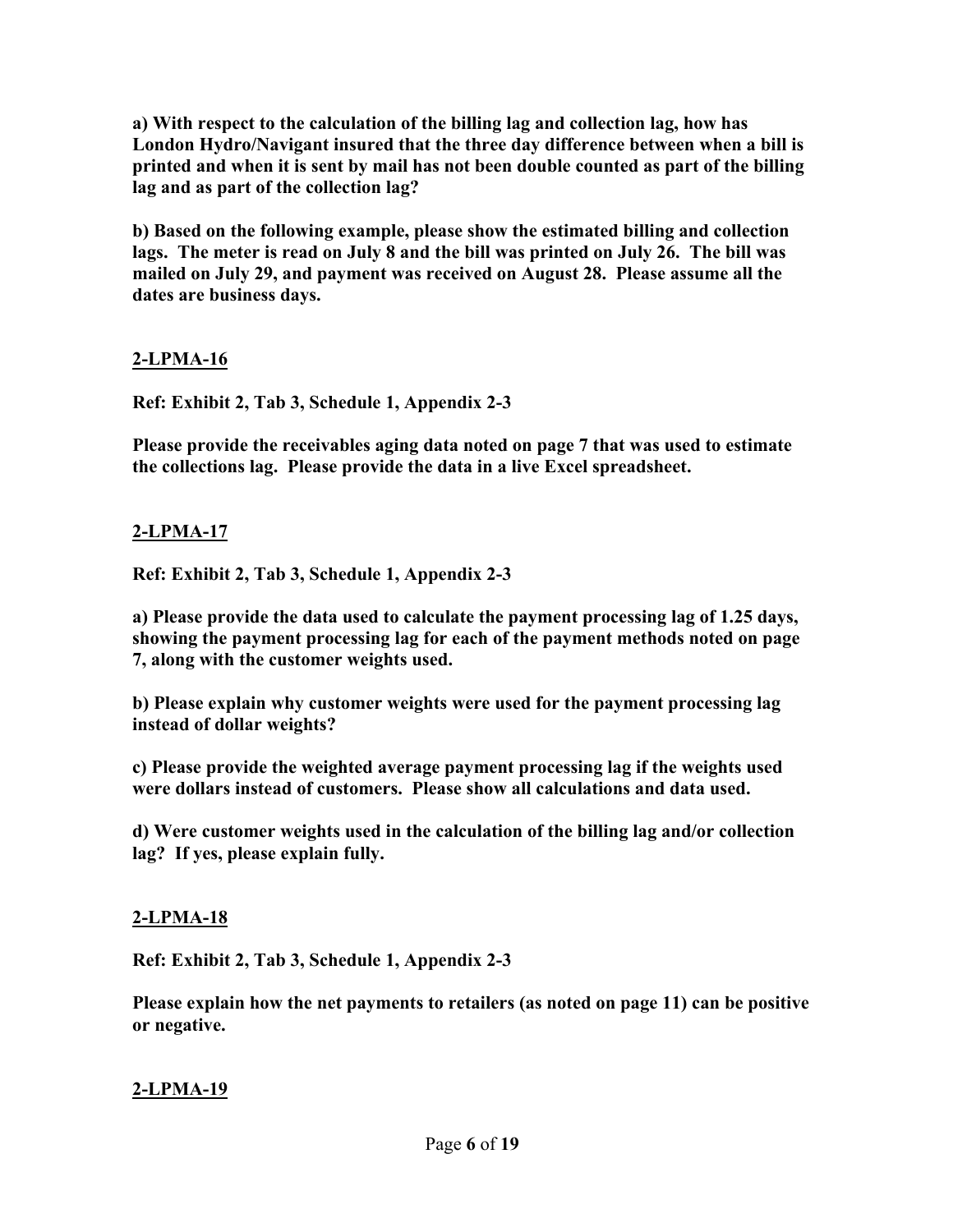**a) With respect to the calculation of the billing lag and collection lag, how has London Hydro/Navigant insured that the three day difference between when a bill is printed and when it is sent by mail has not been double counted as part of the billing lag and as part of the collection lag?** 

**b) Based on the following example, please show the estimated billing and collection lags. The meter is read on July 8 and the bill was printed on July 26. The bill was mailed on July 29, and payment was received on August 28. Please assume all the dates are business days.** 

### **2-LPMA-16**

**Ref: Exhibit 2, Tab 3, Schedule 1, Appendix 2-3** 

**Please provide the receivables aging data noted on page 7 that was used to estimate the collections lag. Please provide the data in a live Excel spreadsheet.** 

### **2-LPMA-17**

**Ref: Exhibit 2, Tab 3, Schedule 1, Appendix 2-3** 

**a) Please provide the data used to calculate the payment processing lag of 1.25 days, showing the payment processing lag for each of the payment methods noted on page 7, along with the customer weights used.** 

**b) Please explain why customer weights were used for the payment processing lag instead of dollar weights?** 

**c) Please provide the weighted average payment processing lag if the weights used were dollars instead of customers. Please show all calculations and data used.** 

**d) Were customer weights used in the calculation of the billing lag and/or collection lag? If yes, please explain fully.** 

#### **2-LPMA-18**

**Ref: Exhibit 2, Tab 3, Schedule 1, Appendix 2-3** 

**Please explain how the net payments to retailers (as noted on page 11) can be positive or negative.**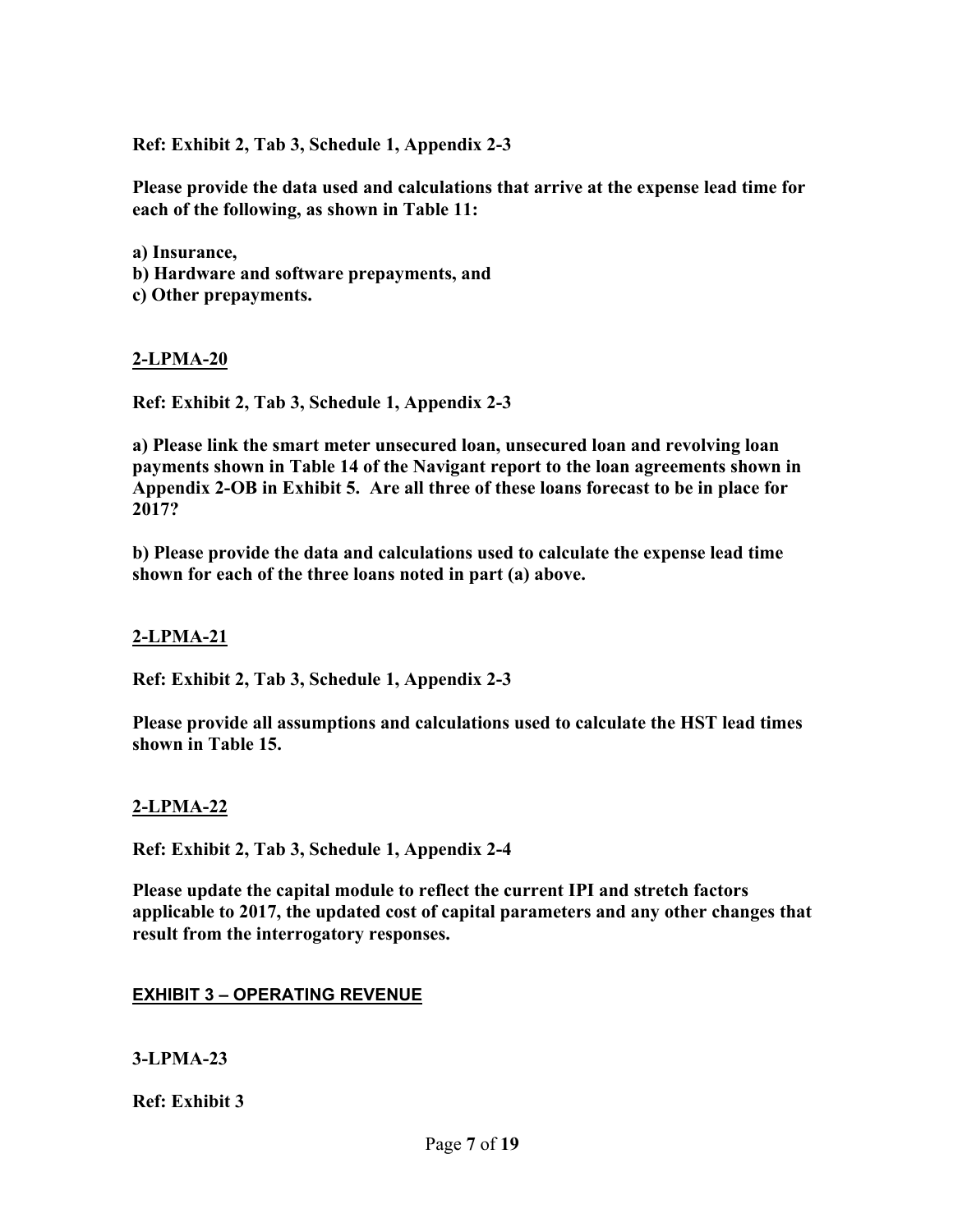**Ref: Exhibit 2, Tab 3, Schedule 1, Appendix 2-3** 

**Please provide the data used and calculations that arrive at the expense lead time for each of the following, as shown in Table 11:** 

**a) Insurance,** 

- **b) Hardware and software prepayments, and**
- **c) Other prepayments.**

#### **2-LPMA-20**

**Ref: Exhibit 2, Tab 3, Schedule 1, Appendix 2-3** 

**a) Please link the smart meter unsecured loan, unsecured loan and revolving loan payments shown in Table 14 of the Navigant report to the loan agreements shown in Appendix 2-OB in Exhibit 5. Are all three of these loans forecast to be in place for 2017?** 

**b) Please provide the data and calculations used to calculate the expense lead time shown for each of the three loans noted in part (a) above.** 

#### **2-LPMA-21**

**Ref: Exhibit 2, Tab 3, Schedule 1, Appendix 2-3** 

**Please provide all assumptions and calculations used to calculate the HST lead times shown in Table 15.** 

#### **2-LPMA-22**

**Ref: Exhibit 2, Tab 3, Schedule 1, Appendix 2-4** 

**Please update the capital module to reflect the current IPI and stretch factors applicable to 2017, the updated cost of capital parameters and any other changes that result from the interrogatory responses.** 

#### **EXHIBIT 3 – OPERATING REVENUE**

**3-LPMA-23** 

**Ref: Exhibit 3**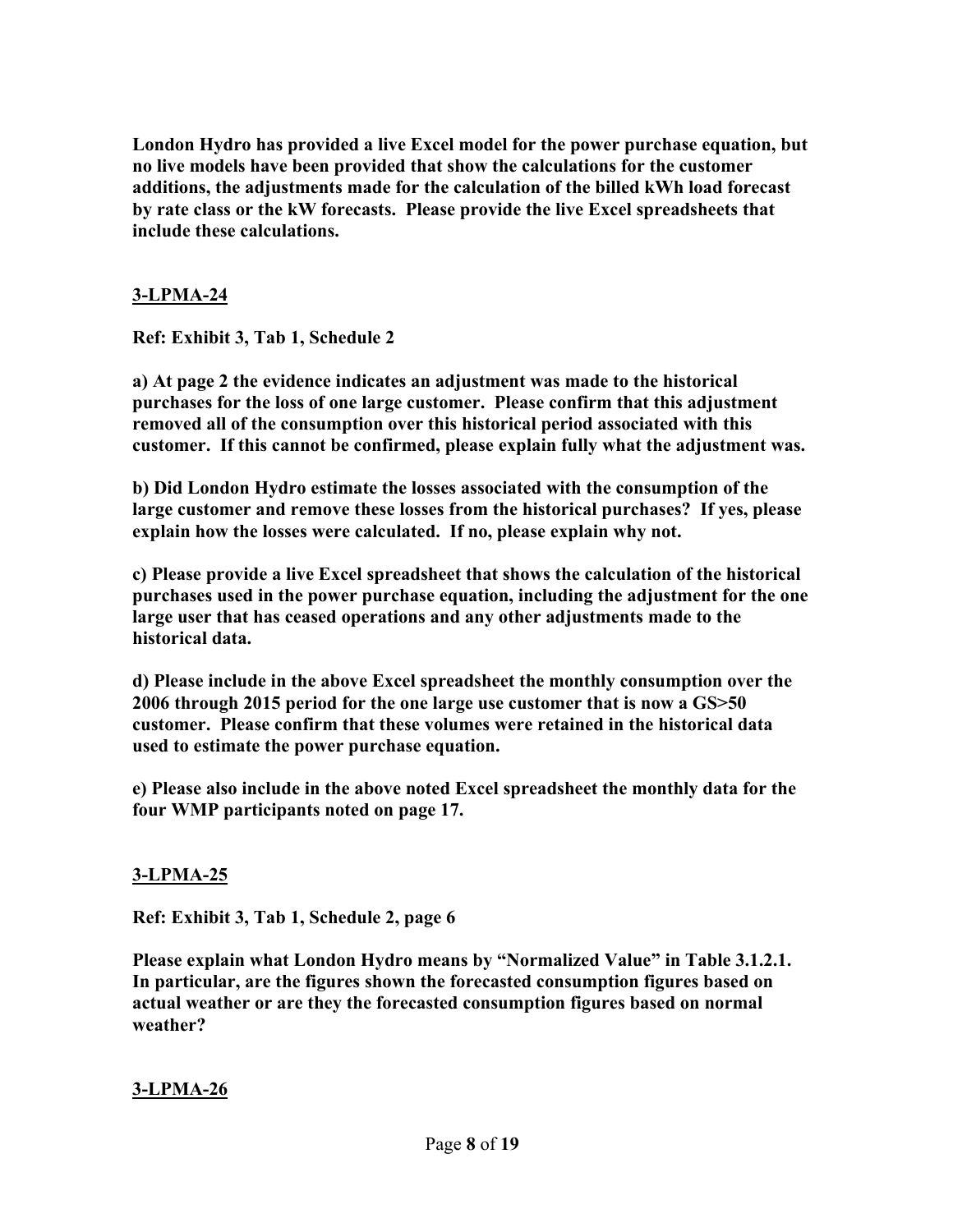**London Hydro has provided a live Excel model for the power purchase equation, but no live models have been provided that show the calculations for the customer additions, the adjustments made for the calculation of the billed kWh load forecast by rate class or the kW forecasts. Please provide the live Excel spreadsheets that include these calculations.** 

### **3-LPMA-24**

**Ref: Exhibit 3, Tab 1, Schedule 2** 

**a) At page 2 the evidence indicates an adjustment was made to the historical purchases for the loss of one large customer. Please confirm that this adjustment removed all of the consumption over this historical period associated with this customer. If this cannot be confirmed, please explain fully what the adjustment was.** 

**b) Did London Hydro estimate the losses associated with the consumption of the large customer and remove these losses from the historical purchases? If yes, please explain how the losses were calculated. If no, please explain why not.** 

**c) Please provide a live Excel spreadsheet that shows the calculation of the historical purchases used in the power purchase equation, including the adjustment for the one large user that has ceased operations and any other adjustments made to the historical data.** 

**d) Please include in the above Excel spreadsheet the monthly consumption over the 2006 through 2015 period for the one large use customer that is now a GS>50 customer. Please confirm that these volumes were retained in the historical data used to estimate the power purchase equation.** 

**e) Please also include in the above noted Excel spreadsheet the monthly data for the four WMP participants noted on page 17.** 

#### **3-LPMA-25**

**Ref: Exhibit 3, Tab 1, Schedule 2, page 6** 

**Please explain what London Hydro means by "Normalized Value" in Table 3.1.2.1. In particular, are the figures shown the forecasted consumption figures based on actual weather or are they the forecasted consumption figures based on normal weather?**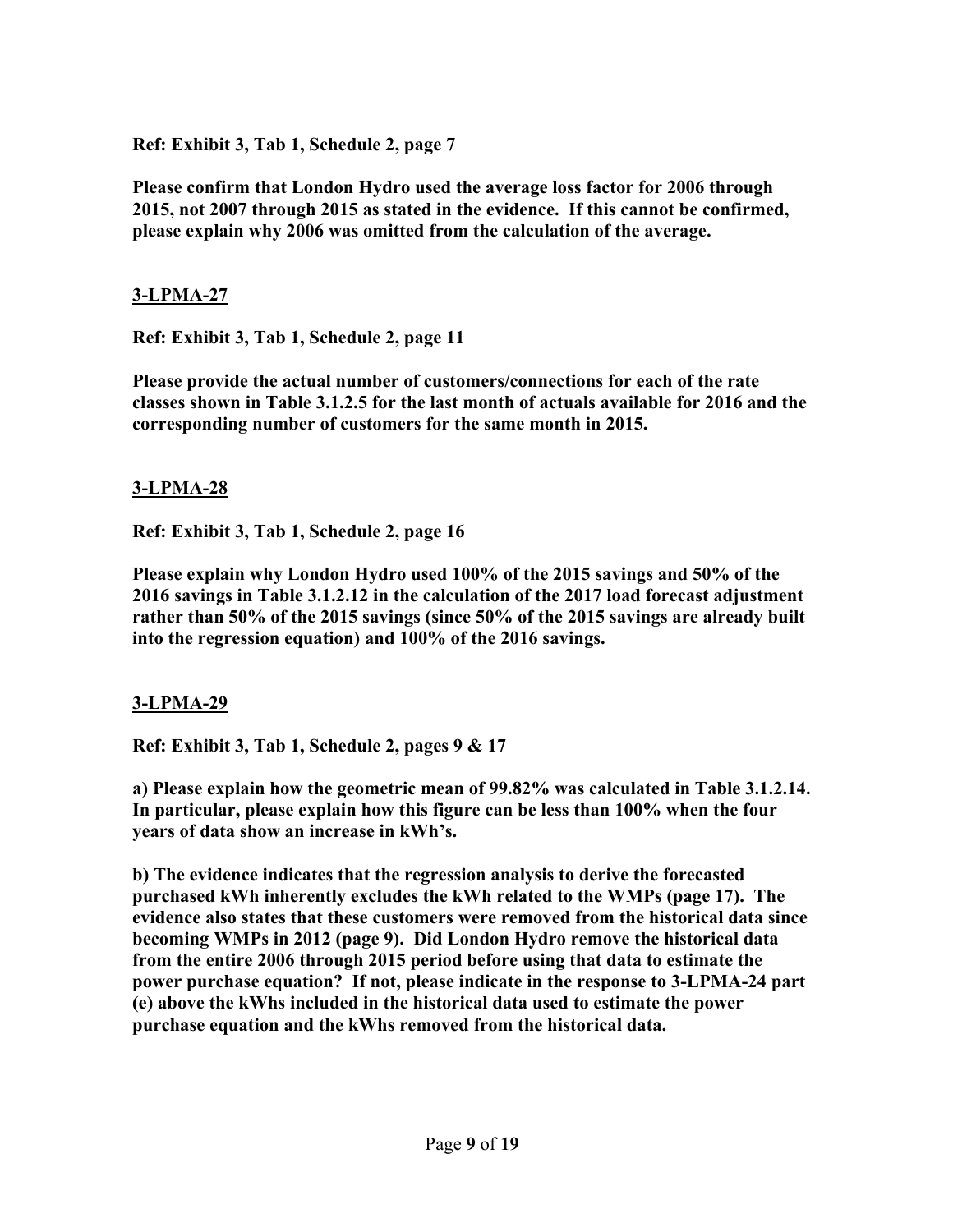**Ref: Exhibit 3, Tab 1, Schedule 2, page 7** 

**Please confirm that London Hydro used the average loss factor for 2006 through 2015, not 2007 through 2015 as stated in the evidence. If this cannot be confirmed, please explain why 2006 was omitted from the calculation of the average.** 

### **3-LPMA-27**

**Ref: Exhibit 3, Tab 1, Schedule 2, page 11** 

**Please provide the actual number of customers/connections for each of the rate classes shown in Table 3.1.2.5 for the last month of actuals available for 2016 and the corresponding number of customers for the same month in 2015.** 

### **3-LPMA-28**

**Ref: Exhibit 3, Tab 1, Schedule 2, page 16** 

**Please explain why London Hydro used 100% of the 2015 savings and 50% of the 2016 savings in Table 3.1.2.12 in the calculation of the 2017 load forecast adjustment rather than 50% of the 2015 savings (since 50% of the 2015 savings are already built into the regression equation) and 100% of the 2016 savings.** 

### **3-LPMA-29**

**Ref: Exhibit 3, Tab 1, Schedule 2, pages 9 & 17** 

**a) Please explain how the geometric mean of 99.82% was calculated in Table 3.1.2.14. In particular, please explain how this figure can be less than 100% when the four years of data show an increase in kWh's.** 

**b) The evidence indicates that the regression analysis to derive the forecasted purchased kWh inherently excludes the kWh related to the WMPs (page 17). The evidence also states that these customers were removed from the historical data since becoming WMPs in 2012 (page 9). Did London Hydro remove the historical data from the entire 2006 through 2015 period before using that data to estimate the power purchase equation? If not, please indicate in the response to 3-LPMA-24 part (e) above the kWhs included in the historical data used to estimate the power purchase equation and the kWhs removed from the historical data.**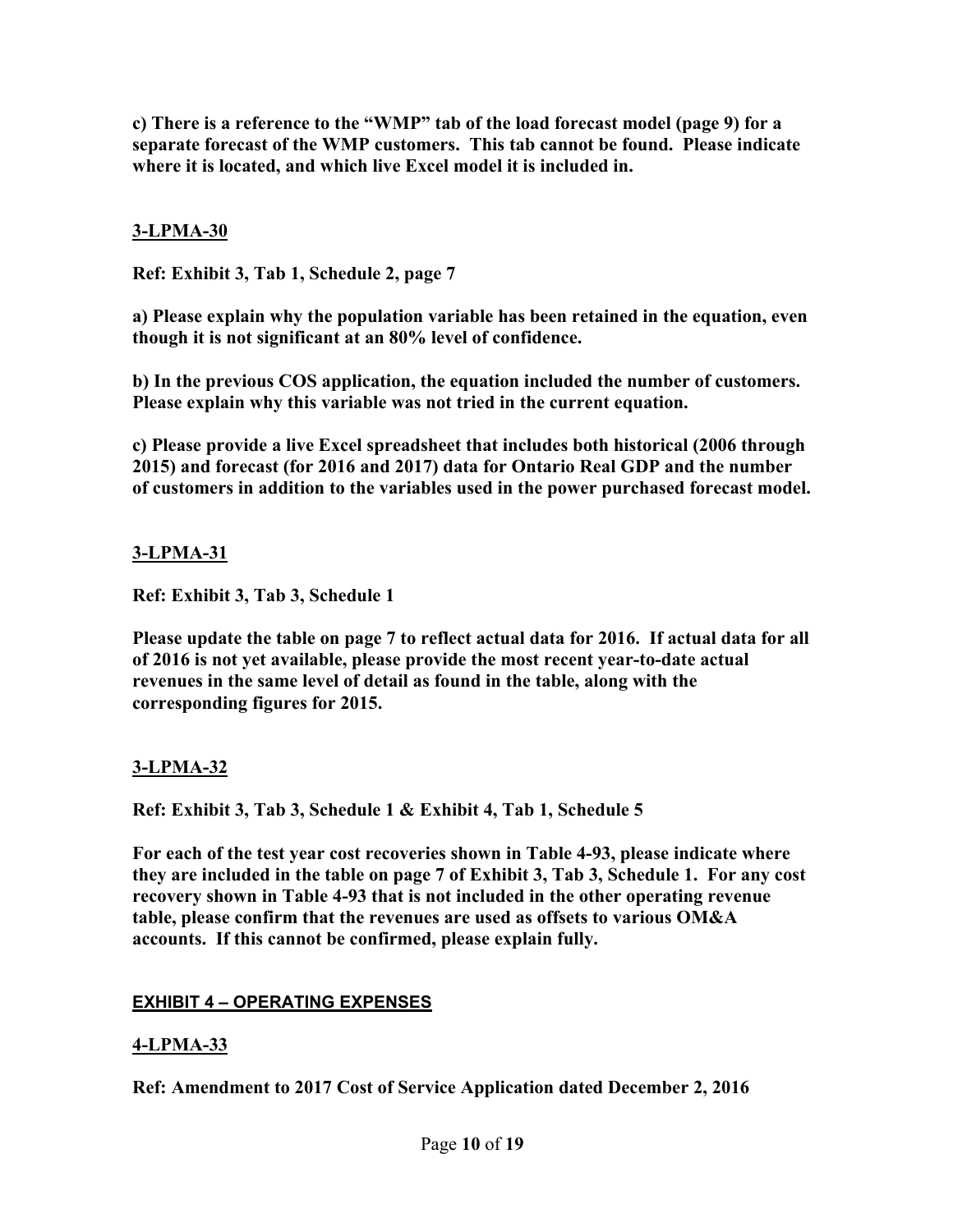**c) There is a reference to the "WMP" tab of the load forecast model (page 9) for a separate forecast of the WMP customers. This tab cannot be found. Please indicate where it is located, and which live Excel model it is included in.** 

### **3-LPMA-30**

**Ref: Exhibit 3, Tab 1, Schedule 2, page 7** 

**a) Please explain why the population variable has been retained in the equation, even though it is not significant at an 80% level of confidence.** 

**b) In the previous COS application, the equation included the number of customers. Please explain why this variable was not tried in the current equation.** 

**c) Please provide a live Excel spreadsheet that includes both historical (2006 through 2015) and forecast (for 2016 and 2017) data for Ontario Real GDP and the number of customers in addition to the variables used in the power purchased forecast model.** 

### **3-LPMA-31**

**Ref: Exhibit 3, Tab 3, Schedule 1** 

**Please update the table on page 7 to reflect actual data for 2016. If actual data for all of 2016 is not yet available, please provide the most recent year-to-date actual revenues in the same level of detail as found in the table, along with the corresponding figures for 2015.** 

### **3-LPMA-32**

**Ref: Exhibit 3, Tab 3, Schedule 1 & Exhibit 4, Tab 1, Schedule 5** 

**For each of the test year cost recoveries shown in Table 4-93, please indicate where they are included in the table on page 7 of Exhibit 3, Tab 3, Schedule 1. For any cost recovery shown in Table 4-93 that is not included in the other operating revenue table, please confirm that the revenues are used as offsets to various OM&A accounts. If this cannot be confirmed, please explain fully.** 

### **EXHIBIT 4 – OPERATING EXPENSES**

### **4-LPMA-33**

**Ref: Amendment to 2017 Cost of Service Application dated December 2, 2016**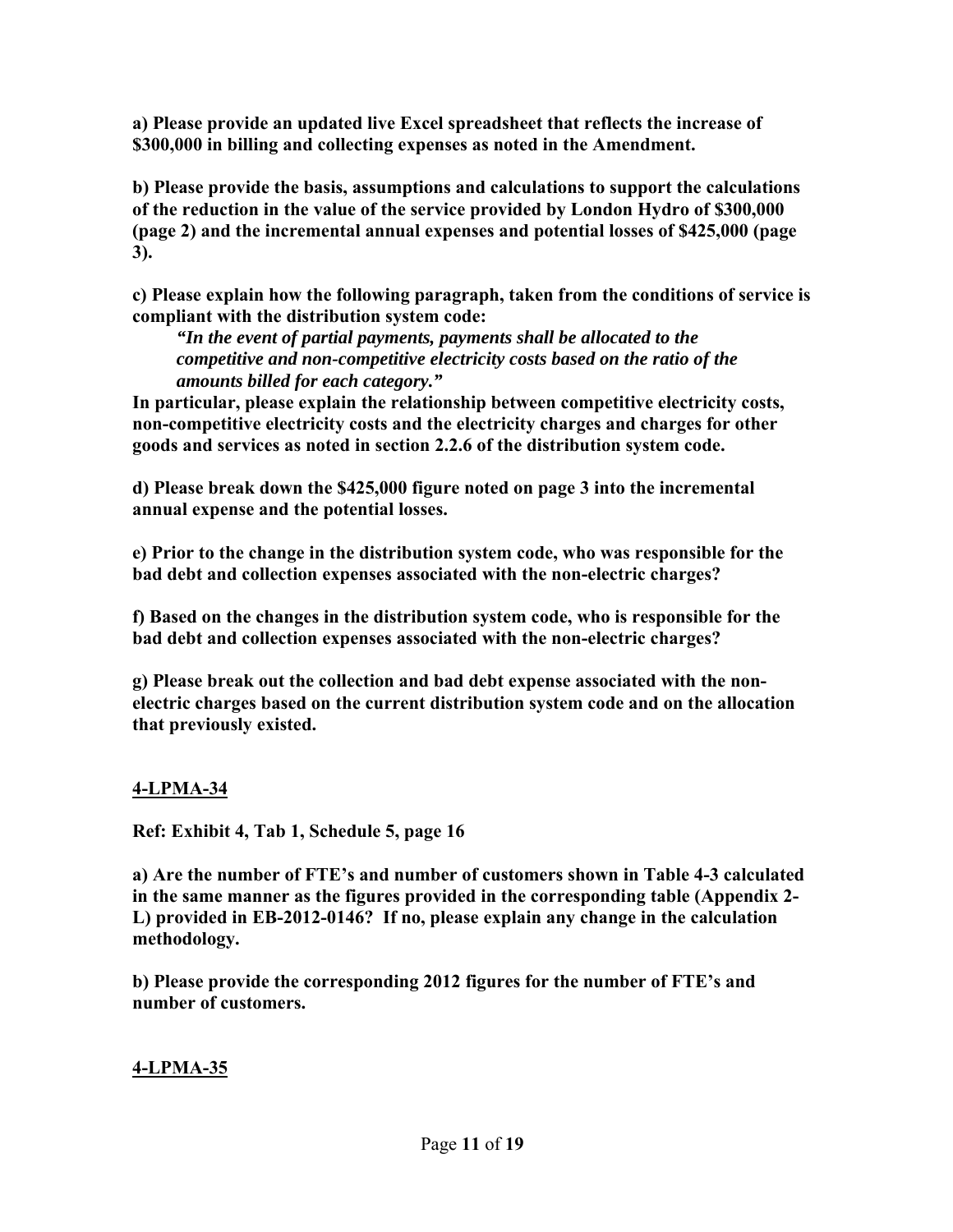**a) Please provide an updated live Excel spreadsheet that reflects the increase of \$300,000 in billing and collecting expenses as noted in the Amendment.** 

**b) Please provide the basis, assumptions and calculations to support the calculations of the reduction in the value of the service provided by London Hydro of \$300,000 (page 2) and the incremental annual expenses and potential losses of \$425,000 (page 3).** 

**c) Please explain how the following paragraph, taken from the conditions of service is compliant with the distribution system code:** 

*"In the event of partial payments, payments shall be allocated to the competitive and non-competitive electricity costs based on the ratio of the amounts billed for each category."* 

**In particular, please explain the relationship between competitive electricity costs, non-competitive electricity costs and the electricity charges and charges for other goods and services as noted in section 2.2.6 of the distribution system code.** 

**d) Please break down the \$425,000 figure noted on page 3 into the incremental annual expense and the potential losses.** 

**e) Prior to the change in the distribution system code, who was responsible for the bad debt and collection expenses associated with the non-electric charges?** 

**f) Based on the changes in the distribution system code, who is responsible for the bad debt and collection expenses associated with the non-electric charges?** 

**g) Please break out the collection and bad debt expense associated with the nonelectric charges based on the current distribution system code and on the allocation that previously existed.** 

### **4-LPMA-34**

**Ref: Exhibit 4, Tab 1, Schedule 5, page 16** 

**a) Are the number of FTE's and number of customers shown in Table 4-3 calculated in the same manner as the figures provided in the corresponding table (Appendix 2- L) provided in EB-2012-0146? If no, please explain any change in the calculation methodology.** 

**b) Please provide the corresponding 2012 figures for the number of FTE's and number of customers.**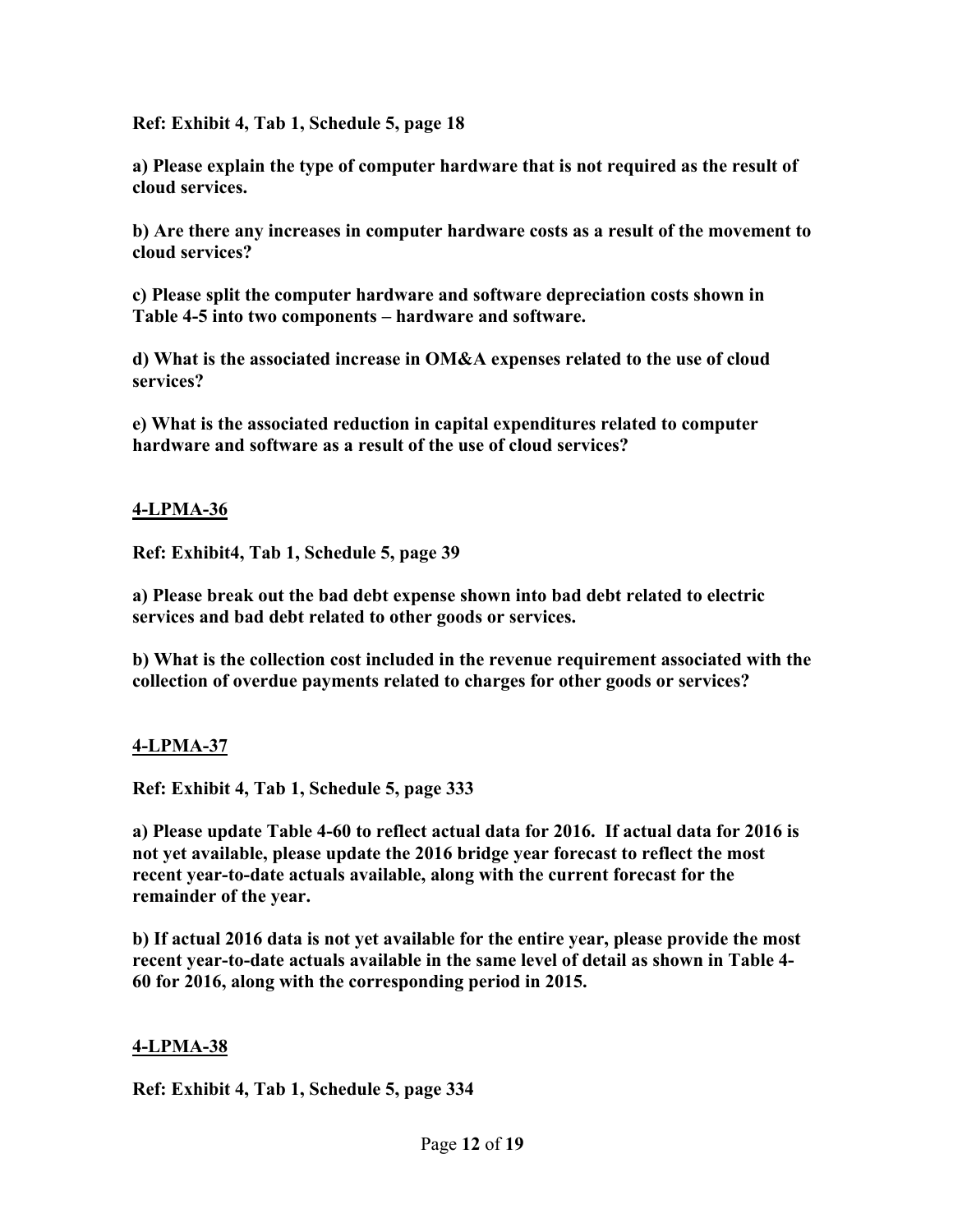**Ref: Exhibit 4, Tab 1, Schedule 5, page 18** 

**a) Please explain the type of computer hardware that is not required as the result of cloud services.** 

**b) Are there any increases in computer hardware costs as a result of the movement to cloud services?** 

**c) Please split the computer hardware and software depreciation costs shown in Table 4-5 into two components – hardware and software.** 

**d) What is the associated increase in OM&A expenses related to the use of cloud services?** 

**e) What is the associated reduction in capital expenditures related to computer hardware and software as a result of the use of cloud services?**

#### **4-LPMA-36**

**Ref: Exhibit4, Tab 1, Schedule 5, page 39** 

**a) Please break out the bad debt expense shown into bad debt related to electric services and bad debt related to other goods or services.** 

**b) What is the collection cost included in the revenue requirement associated with the collection of overdue payments related to charges for other goods or services?** 

#### **4-LPMA-37**

**Ref: Exhibit 4, Tab 1, Schedule 5, page 333** 

**a) Please update Table 4-60 to reflect actual data for 2016. If actual data for 2016 is not yet available, please update the 2016 bridge year forecast to reflect the most recent year-to-date actuals available, along with the current forecast for the remainder of the year.** 

**b) If actual 2016 data is not yet available for the entire year, please provide the most recent year-to-date actuals available in the same level of detail as shown in Table 4- 60 for 2016, along with the corresponding period in 2015.** 

#### **4-LPMA-38**

**Ref: Exhibit 4, Tab 1, Schedule 5, page 334**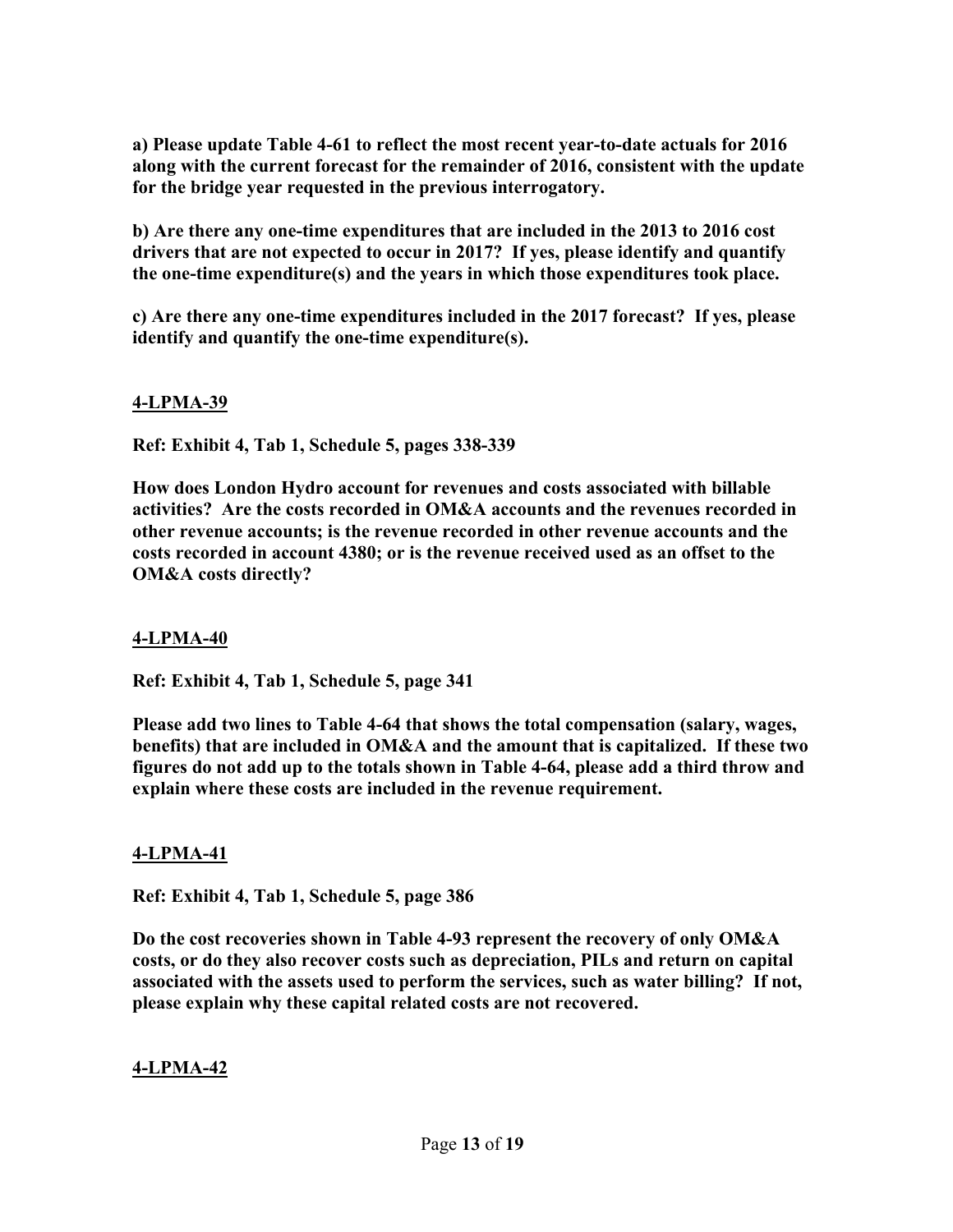**a) Please update Table 4-61 to reflect the most recent year-to-date actuals for 2016 along with the current forecast for the remainder of 2016, consistent with the update for the bridge year requested in the previous interrogatory.** 

**b) Are there any one-time expenditures that are included in the 2013 to 2016 cost drivers that are not expected to occur in 2017? If yes, please identify and quantify the one-time expenditure(s) and the years in which those expenditures took place.** 

**c) Are there any one-time expenditures included in the 2017 forecast? If yes, please identify and quantify the one-time expenditure(s).** 

### **4-LPMA-39**

**Ref: Exhibit 4, Tab 1, Schedule 5, pages 338-339** 

**How does London Hydro account for revenues and costs associated with billable activities? Are the costs recorded in OM&A accounts and the revenues recorded in other revenue accounts; is the revenue recorded in other revenue accounts and the costs recorded in account 4380; or is the revenue received used as an offset to the OM&A costs directly?** 

### **4-LPMA-40**

**Ref: Exhibit 4, Tab 1, Schedule 5, page 341** 

**Please add two lines to Table 4-64 that shows the total compensation (salary, wages, benefits) that are included in OM&A and the amount that is capitalized. If these two figures do not add up to the totals shown in Table 4-64, please add a third throw and explain where these costs are included in the revenue requirement.** 

### **4-LPMA-41**

**Ref: Exhibit 4, Tab 1, Schedule 5, page 386** 

**Do the cost recoveries shown in Table 4-93 represent the recovery of only OM&A costs, or do they also recover costs such as depreciation, PILs and return on capital associated with the assets used to perform the services, such as water billing? If not, please explain why these capital related costs are not recovered.**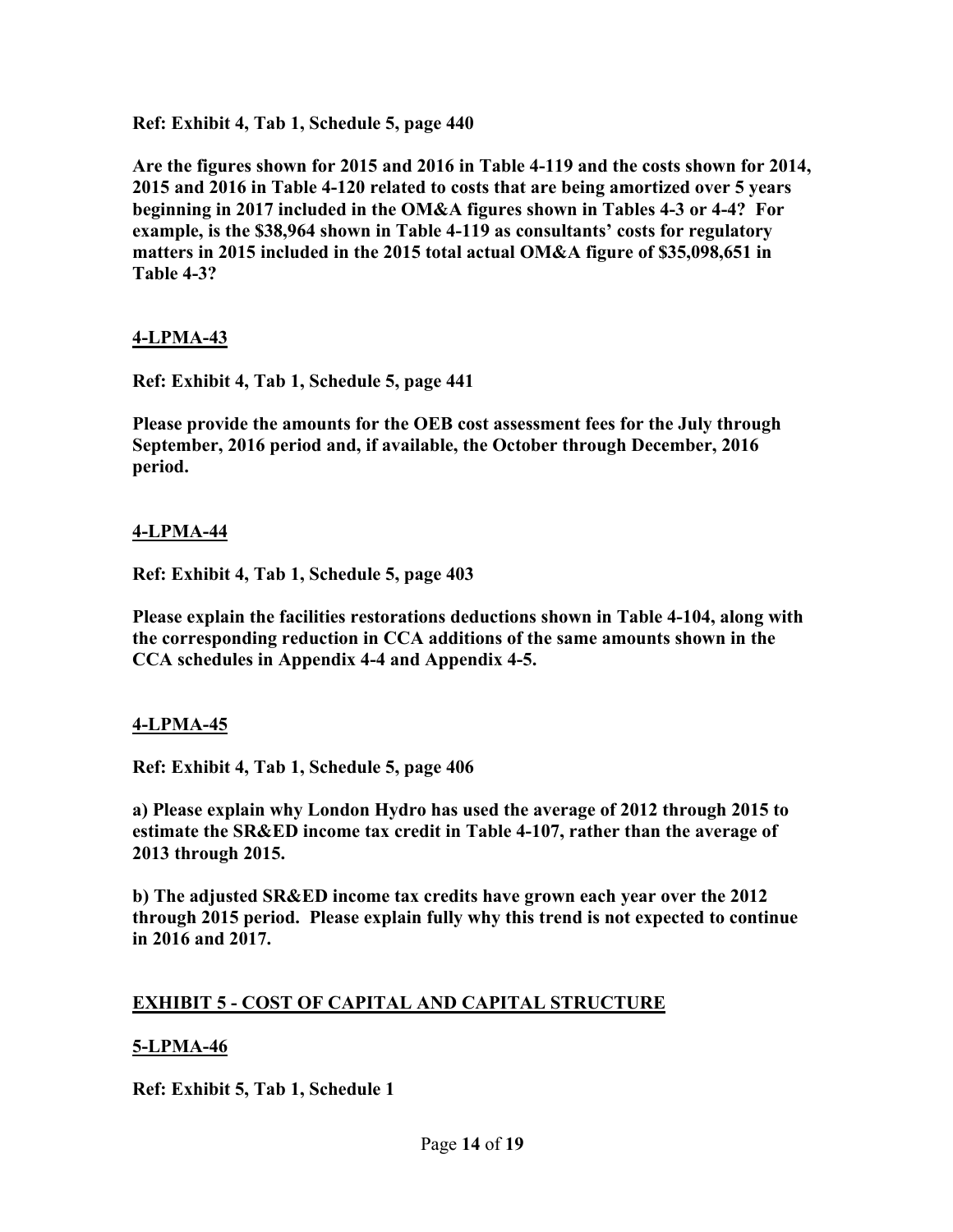**Ref: Exhibit 4, Tab 1, Schedule 5, page 440** 

**Are the figures shown for 2015 and 2016 in Table 4-119 and the costs shown for 2014, 2015 and 2016 in Table 4-120 related to costs that are being amortized over 5 years beginning in 2017 included in the OM&A figures shown in Tables 4-3 or 4-4? For example, is the \$38,964 shown in Table 4-119 as consultants' costs for regulatory matters in 2015 included in the 2015 total actual OM&A figure of \$35,098,651 in Table 4-3?** 

#### **4-LPMA-43**

**Ref: Exhibit 4, Tab 1, Schedule 5, page 441** 

**Please provide the amounts for the OEB cost assessment fees for the July through September, 2016 period and, if available, the October through December, 2016 period.** 

#### **4-LPMA-44**

**Ref: Exhibit 4, Tab 1, Schedule 5, page 403** 

**Please explain the facilities restorations deductions shown in Table 4-104, along with the corresponding reduction in CCA additions of the same amounts shown in the CCA schedules in Appendix 4-4 and Appendix 4-5.** 

#### **4-LPMA-45**

**Ref: Exhibit 4, Tab 1, Schedule 5, page 406** 

**a) Please explain why London Hydro has used the average of 2012 through 2015 to estimate the SR&ED income tax credit in Table 4-107, rather than the average of 2013 through 2015.** 

**b) The adjusted SR&ED income tax credits have grown each year over the 2012 through 2015 period. Please explain fully why this trend is not expected to continue in 2016 and 2017.** 

#### **EXHIBIT 5 - COST OF CAPITAL AND CAPITAL STRUCTURE**

#### **5-LPMA-46**

**Ref: Exhibit 5, Tab 1, Schedule 1**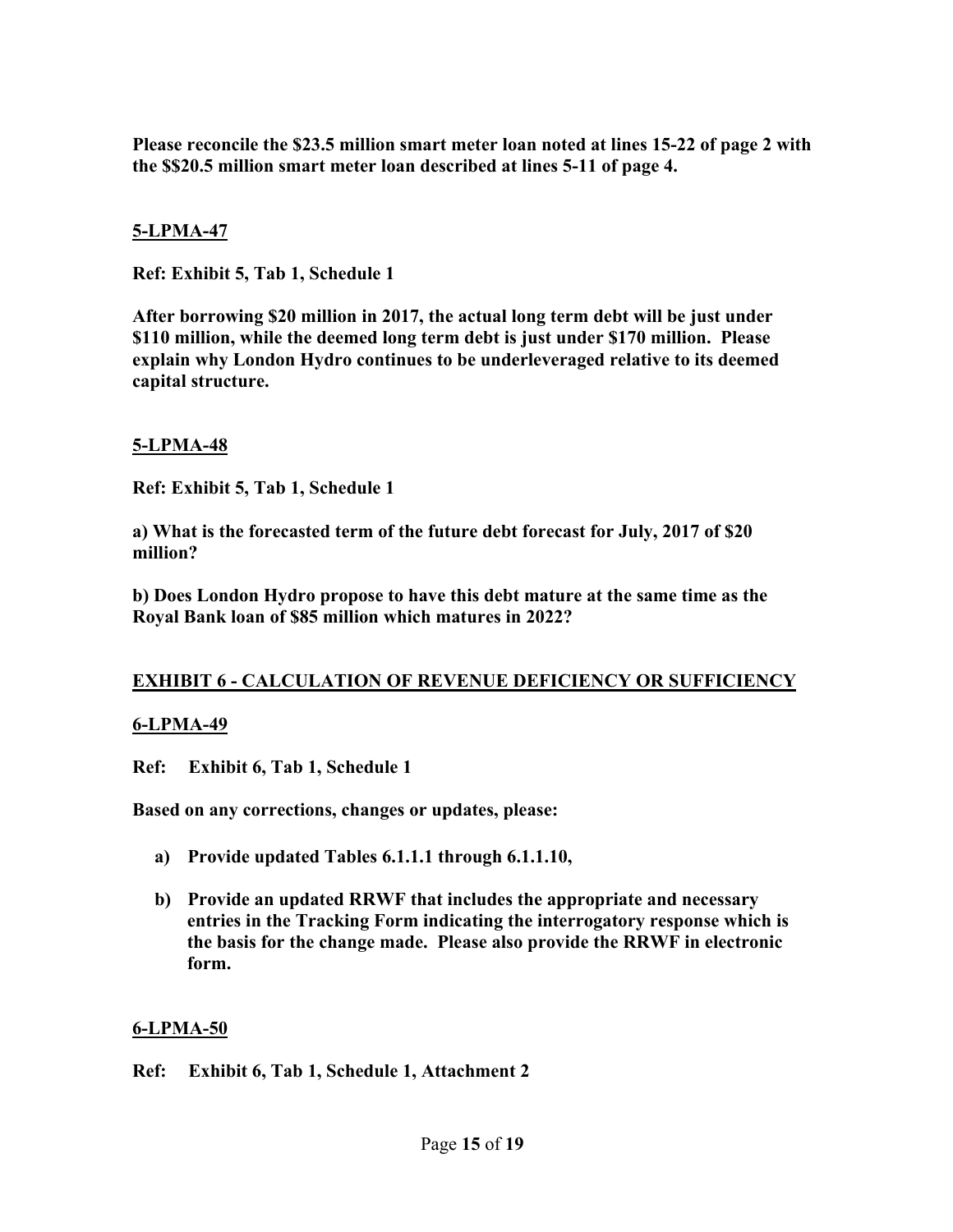**Please reconcile the \$23.5 million smart meter loan noted at lines 15-22 of page 2 with the \$\$20.5 million smart meter loan described at lines 5-11 of page 4.** 

### **5-LPMA-47**

**Ref: Exhibit 5, Tab 1, Schedule 1** 

**After borrowing \$20 million in 2017, the actual long term debt will be just under \$110 million, while the deemed long term debt is just under \$170 million. Please explain why London Hydro continues to be underleveraged relative to its deemed capital structure.** 

#### **5-LPMA-48**

**Ref: Exhibit 5, Tab 1, Schedule 1** 

**a) What is the forecasted term of the future debt forecast for July, 2017 of \$20 million?** 

**b) Does London Hydro propose to have this debt mature at the same time as the Royal Bank loan of \$85 million which matures in 2022?** 

#### **EXHIBIT 6 - CALCULATION OF REVENUE DEFICIENCY OR SUFFICIENCY**

#### **6-LPMA-49**

**Ref: Exhibit 6, Tab 1, Schedule 1** 

**Based on any corrections, changes or updates, please:** 

- **a) Provide updated Tables 6.1.1.1 through 6.1.1.10,**
- **b) Provide an updated RRWF that includes the appropriate and necessary entries in the Tracking Form indicating the interrogatory response which is the basis for the change made. Please also provide the RRWF in electronic form.**

#### **6-LPMA-50**

**Ref: Exhibit 6, Tab 1, Schedule 1, Attachment 2**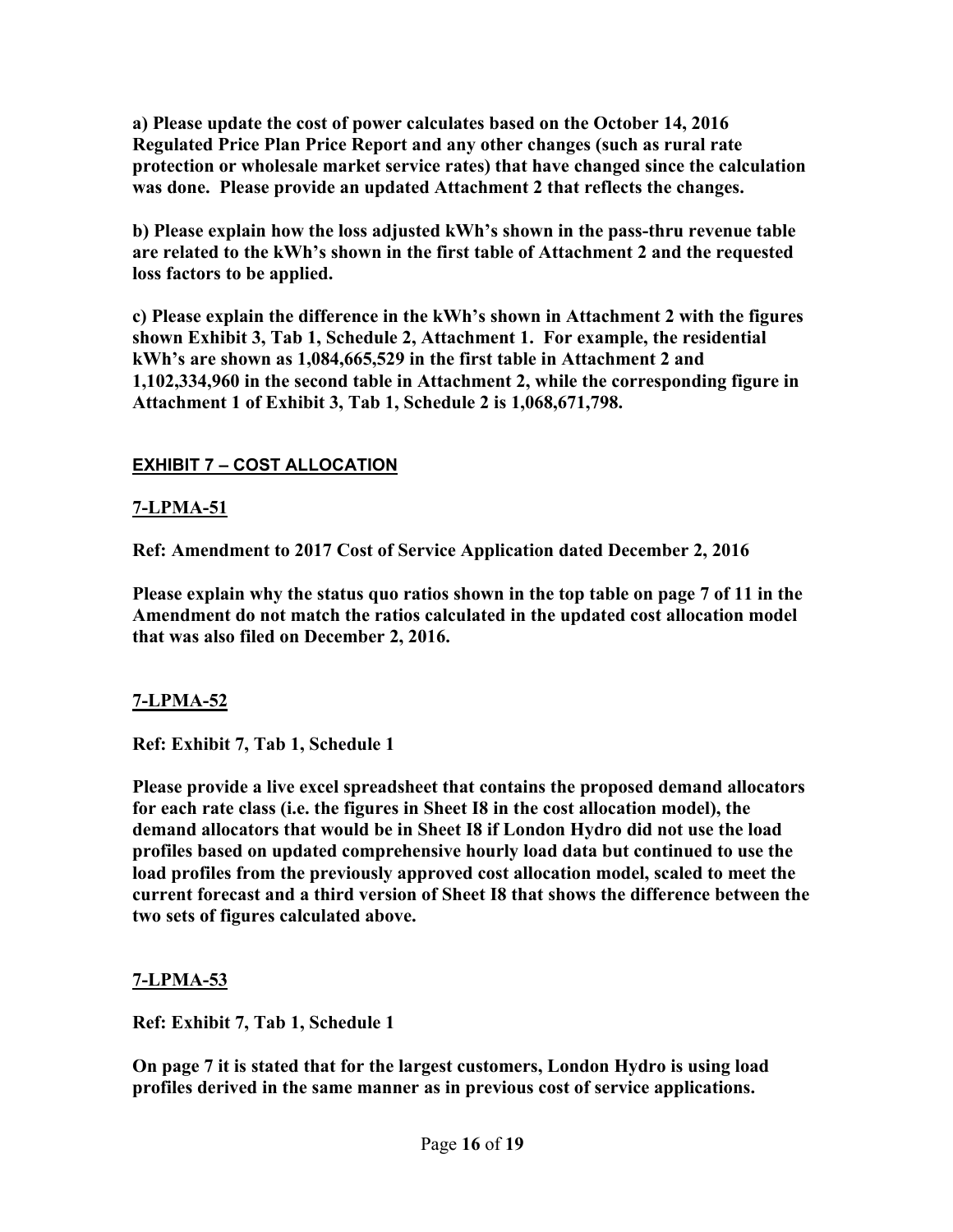**a) Please update the cost of power calculates based on the October 14, 2016 Regulated Price Plan Price Report and any other changes (such as rural rate protection or wholesale market service rates) that have changed since the calculation was done. Please provide an updated Attachment 2 that reflects the changes.** 

**b) Please explain how the loss adjusted kWh's shown in the pass-thru revenue table are related to the kWh's shown in the first table of Attachment 2 and the requested loss factors to be applied.** 

**c) Please explain the difference in the kWh's shown in Attachment 2 with the figures shown Exhibit 3, Tab 1, Schedule 2, Attachment 1. For example, the residential kWh's are shown as 1,084,665,529 in the first table in Attachment 2 and 1,102,334,960 in the second table in Attachment 2, while the corresponding figure in Attachment 1 of Exhibit 3, Tab 1, Schedule 2 is 1,068,671,798.** 

# **EXHIBIT 7 – COST ALLOCATION**

# **7-LPMA-51**

**Ref: Amendment to 2017 Cost of Service Application dated December 2, 2016** 

**Please explain why the status quo ratios shown in the top table on page 7 of 11 in the Amendment do not match the ratios calculated in the updated cost allocation model that was also filed on December 2, 2016.** 

# **7-LPMA-52**

**Ref: Exhibit 7, Tab 1, Schedule 1** 

**Please provide a live excel spreadsheet that contains the proposed demand allocators for each rate class (i.e. the figures in Sheet I8 in the cost allocation model), the demand allocators that would be in Sheet I8 if London Hydro did not use the load profiles based on updated comprehensive hourly load data but continued to use the load profiles from the previously approved cost allocation model, scaled to meet the current forecast and a third version of Sheet I8 that shows the difference between the two sets of figures calculated above.** 

# **7-LPMA-53**

**Ref: Exhibit 7, Tab 1, Schedule 1** 

**On page 7 it is stated that for the largest customers, London Hydro is using load profiles derived in the same manner as in previous cost of service applications.**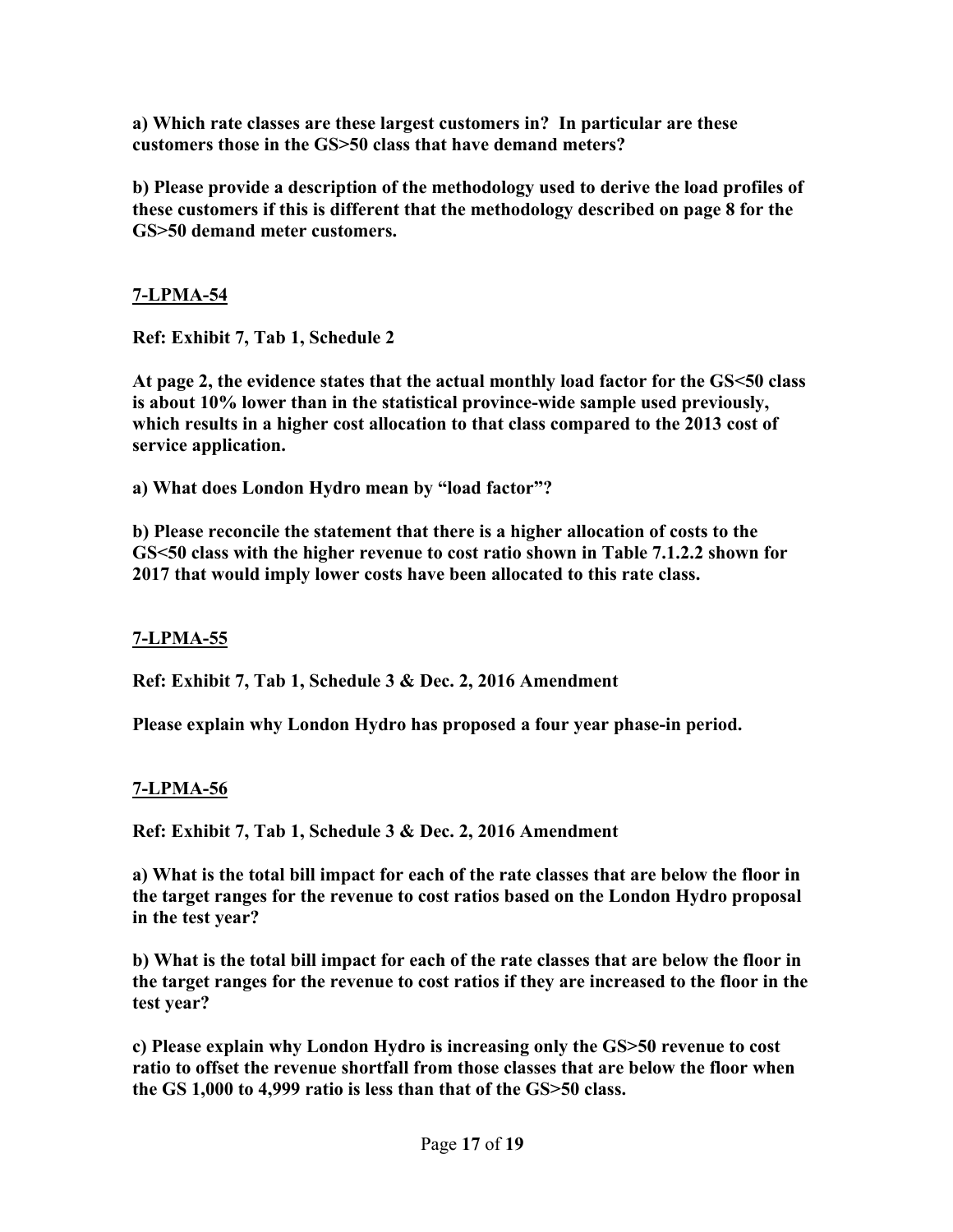**a) Which rate classes are these largest customers in? In particular are these customers those in the GS>50 class that have demand meters?** 

**b) Please provide a description of the methodology used to derive the load profiles of these customers if this is different that the methodology described on page 8 for the GS>50 demand meter customers.** 

### **7-LPMA-54**

**Ref: Exhibit 7, Tab 1, Schedule 2** 

**At page 2, the evidence states that the actual monthly load factor for the GS<50 class is about 10% lower than in the statistical province-wide sample used previously, which results in a higher cost allocation to that class compared to the 2013 cost of service application.** 

**a) What does London Hydro mean by "load factor"?** 

**b) Please reconcile the statement that there is a higher allocation of costs to the GS<50 class with the higher revenue to cost ratio shown in Table 7.1.2.2 shown for 2017 that would imply lower costs have been allocated to this rate class.** 

### **7-LPMA-55**

**Ref: Exhibit 7, Tab 1, Schedule 3 & Dec. 2, 2016 Amendment** 

**Please explain why London Hydro has proposed a four year phase-in period.** 

### **7-LPMA-56**

**Ref: Exhibit 7, Tab 1, Schedule 3 & Dec. 2, 2016 Amendment** 

**a) What is the total bill impact for each of the rate classes that are below the floor in the target ranges for the revenue to cost ratios based on the London Hydro proposal in the test year?** 

**b) What is the total bill impact for each of the rate classes that are below the floor in the target ranges for the revenue to cost ratios if they are increased to the floor in the test year?** 

**c) Please explain why London Hydro is increasing only the GS>50 revenue to cost ratio to offset the revenue shortfall from those classes that are below the floor when the GS 1,000 to 4,999 ratio is less than that of the GS>50 class.**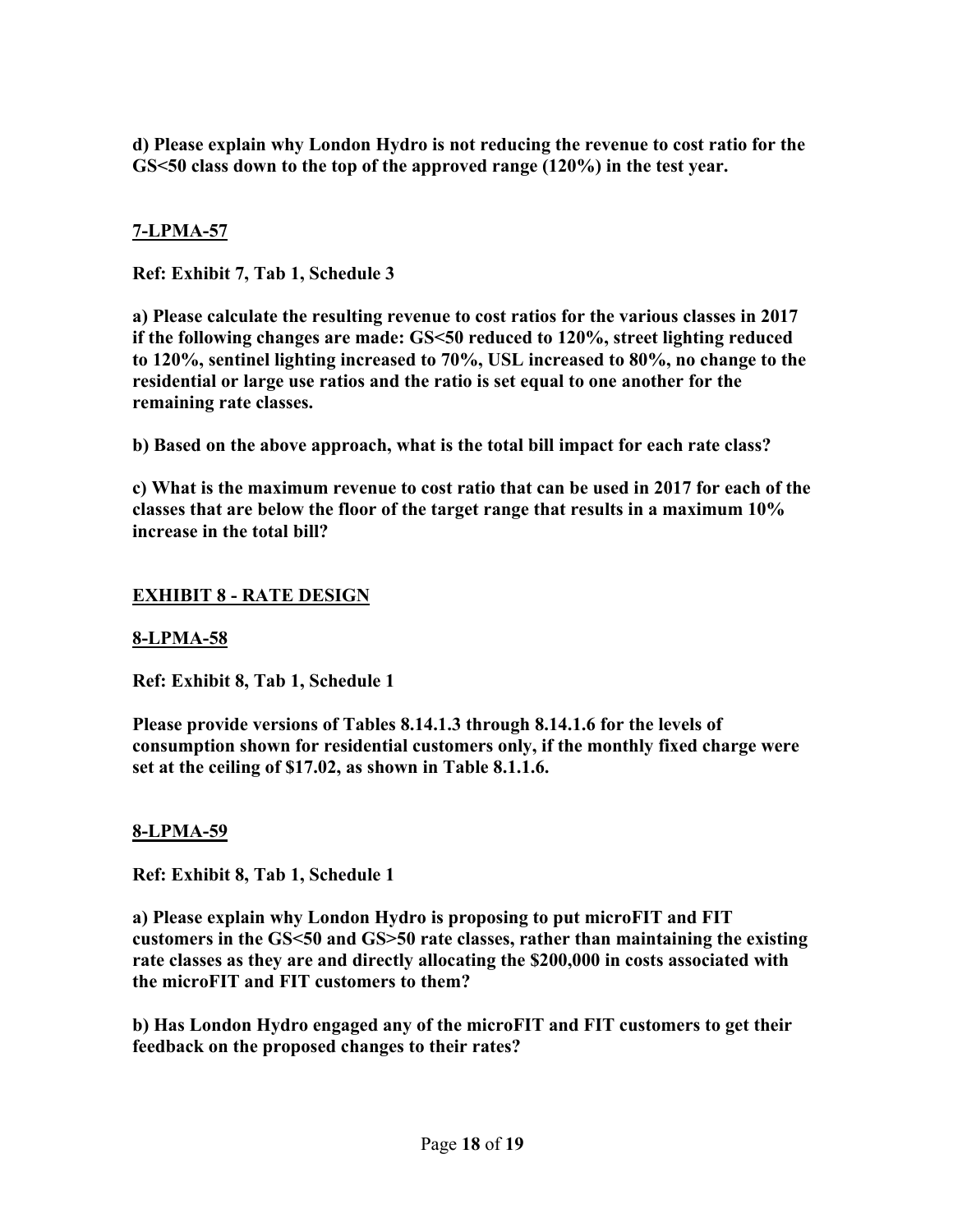**d) Please explain why London Hydro is not reducing the revenue to cost ratio for the GS<50 class down to the top of the approved range (120%) in the test year.** 

### **7-LPMA-57**

**Ref: Exhibit 7, Tab 1, Schedule 3** 

**a) Please calculate the resulting revenue to cost ratios for the various classes in 2017 if the following changes are made: GS<50 reduced to 120%, street lighting reduced to 120%, sentinel lighting increased to 70%, USL increased to 80%, no change to the residential or large use ratios and the ratio is set equal to one another for the remaining rate classes.** 

**b) Based on the above approach, what is the total bill impact for each rate class?** 

**c) What is the maximum revenue to cost ratio that can be used in 2017 for each of the classes that are below the floor of the target range that results in a maximum 10% increase in the total bill?** 

### **EXHIBIT 8 - RATE DESIGN**

### **8-LPMA-58**

**Ref: Exhibit 8, Tab 1, Schedule 1** 

**Please provide versions of Tables 8.14.1.3 through 8.14.1.6 for the levels of consumption shown for residential customers only, if the monthly fixed charge were set at the ceiling of \$17.02, as shown in Table 8.1.1.6.** 

### **8-LPMA-59**

**Ref: Exhibit 8, Tab 1, Schedule 1** 

**a) Please explain why London Hydro is proposing to put microFIT and FIT customers in the GS<50 and GS>50 rate classes, rather than maintaining the existing rate classes as they are and directly allocating the \$200,000 in costs associated with the microFIT and FIT customers to them?** 

**b) Has London Hydro engaged any of the microFIT and FIT customers to get their feedback on the proposed changes to their rates?**